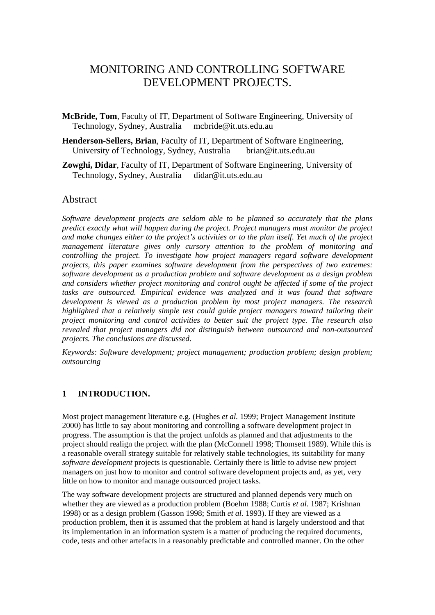# MONITORING AND CONTROLLING SOFTWARE DEVELOPMENT PROJECTS.

- **McBride, Tom**, Faculty of IT, Department of Software Engineering, University of Technology, Sydney, Australia mcbride@it.uts.edu.au
- **Henderson-Sellers, Brian**, Faculty of IT, Department of Software Engineering, University of Technology, Sydney, Australia brian@it.uts.edu.au
- **Zowghi, Didar**, Faculty of IT, Department of Software Engineering, University of Technology, Sydney, Australia didar@it.uts.edu.au

# Abstract

*Software development projects are seldom able to be planned so accurately that the plans predict exactly what will happen during the project. Project managers must monitor the project and make changes either to the project's activities or to the plan itself. Yet much of the project management literature gives only cursory attention to the problem of monitoring and controlling the project. To investigate how project managers regard software development projects, this paper examines software development from the perspectives of two extremes: software development as a production problem and software development as a design problem and considers whether project monitoring and control ought be affected if some of the project tasks are outsourced. Empirical evidence was analyzed and it was found that software development is viewed as a production problem by most project managers. The research highlighted that a relatively simple test could guide project managers toward tailoring their project monitoring and control activities to better suit the project type. The research also revealed that project managers did not distinguish between outsourced and non-outsourced projects. The conclusions are discussed.* 

*Keywords: Software development; project management; production problem; design problem; outsourcing* 

### **1 INTRODUCTION.**

Most project management literature e.g. (Hughes *et al.* 1999; Project Management Institute 2000) has little to say about monitoring and controlling a software development project in progress. The assumption is that the project unfolds as planned and that adjustments to the project should realign the project with the plan (McConnell 1998; Thomsett 1989). While this is a reasonable overall strategy suitable for relatively stable technologies, its suitability for many *software development* projects is questionable. Certainly there is little to advise new project managers on just how to monitor and control software development projects and, as yet, very little on how to monitor and manage outsourced project tasks.

The way software development projects are structured and planned depends very much on whether they are viewed as a production problem (Boehm 1988; Curtis *et al.* 1987; Krishnan 1998) or as a design problem (Gasson 1998; Smith *et al.* 1993). If they are viewed as a production problem, then it is assumed that the problem at hand is largely understood and that its implementation in an information system is a matter of producing the required documents, code, tests and other artefacts in a reasonably predictable and controlled manner. On the other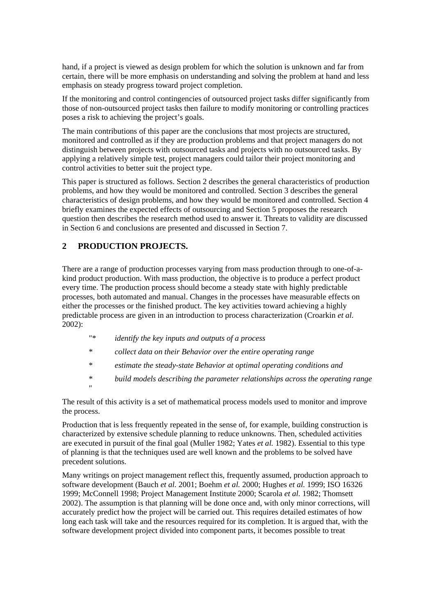hand, if a project is viewed as design problem for which the solution is unknown and far from certain, there will be more emphasis on understanding and solving the problem at hand and less emphasis on steady progress toward project completion.

If the monitoring and control contingencies of outsourced project tasks differ significantly from those of non-outsourced project tasks then failure to modify monitoring or controlling practices poses a risk to achieving the project's goals.

The main contributions of this paper are the conclusions that most projects are structured, monitored and controlled as if they are production problems and that project managers do not distinguish between projects with outsourced tasks and projects with no outsourced tasks. By applying a relatively simple test, project managers could tailor their project monitoring and control activities to better suit the project type.

This paper is structured as follows. Section 2 describes the general characteristics of production problems, and how they would be monitored and controlled. Section 3 describes the general characteristics of design problems, and how they would be monitored and controlled. Section 4 briefly examines the expected effects of outsourcing and Section 5 proposes the research question then describes the research method used to answer it. Threats to validity are discussed in Section 6 and conclusions are presented and discussed in Section 7.

# **2 PRODUCTION PROJECTS.**

*"* 

There are a range of production processes varying from mass production through to one-of-akind product production. With mass production, the objective is to produce a perfect product every time. The production process should become a steady state with highly predictable processes, both automated and manual. Changes in the processes have measurable effects on either the processes or the finished product. The key activities toward achieving a highly predictable process are given in an introduction to process characterization (Croarkin *et al.*  $2002$ :

- *"\* identify the key inputs and outputs of a process*
- *\* collect data on their Behavior over the entire operating range*
- *\* estimate the steady-state Behavior at optimal operating conditions and*
- *\* build models describing the parameter relationships across the operating range*

The result of this activity is a set of mathematical process models used to monitor and improve the process.

Production that is less frequently repeated in the sense of, for example, building construction is characterized by extensive schedule planning to reduce unknowns. Then, scheduled activities are executed in pursuit of the final goal (Muller 1982; Yates *et al.* 1982). Essential to this type of planning is that the techniques used are well known and the problems to be solved have precedent solutions.

Many writings on project management reflect this, frequently assumed, production approach to software development (Bauch *et al.* 2001; Boehm *et al.* 2000; Hughes *et al.* 1999; ISO 16326 1999; McConnell 1998; Project Management Institute 2000; Scarola *et al.* 1982; Thomsett 2002). The assumption is that planning will be done once and, with only minor corrections, will accurately predict how the project will be carried out. This requires detailed estimates of how long each task will take and the resources required for its completion. It is argued that, with the software development project divided into component parts, it becomes possible to treat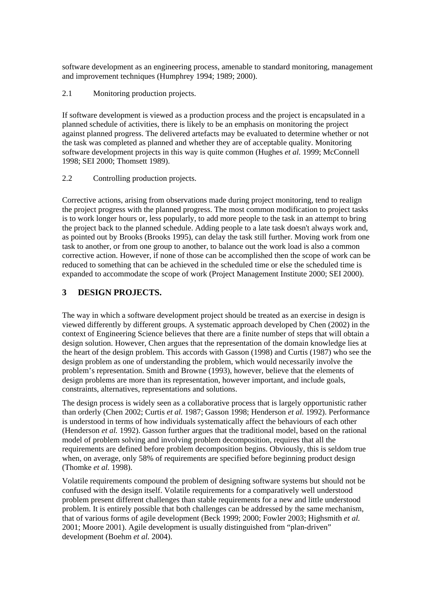software development as an engineering process, amenable to standard monitoring, management and improvement techniques (Humphrey 1994; 1989; 2000).

2.1 Monitoring production projects.

If software development is viewed as a production process and the project is encapsulated in a planned schedule of activities, there is likely to be an emphasis on monitoring the project against planned progress. The delivered artefacts may be evaluated to determine whether or not the task was completed as planned and whether they are of acceptable quality. Monitoring software development projects in this way is quite common (Hughes *et al.* 1999; McConnell 1998; SEI 2000; Thomsett 1989).

#### 2.2 Controlling production projects.

Corrective actions, arising from observations made during project monitoring, tend to realign the project progress with the planned progress. The most common modification to project tasks is to work longer hours or, less popularly, to add more people to the task in an attempt to bring the project back to the planned schedule. Adding people to a late task doesn't always work and, as pointed out by Brooks (Brooks 1995), can delay the task still further. Moving work from one task to another, or from one group to another, to balance out the work load is also a common corrective action. However, if none of those can be accomplished then the scope of work can be reduced to something that can be achieved in the scheduled time or else the scheduled time is expanded to accommodate the scope of work (Project Management Institute 2000; SEI 2000).

# **3 DESIGN PROJECTS.**

The way in which a software development project should be treated as an exercise in design is viewed differently by different groups. A systematic approach developed by Chen (2002) in the context of Engineering Science believes that there are a finite number of steps that will obtain a design solution. However, Chen argues that the representation of the domain knowledge lies at the heart of the design problem. This accords with Gasson (1998) and Curtis (1987) who see the design problem as one of understanding the problem, which would necessarily involve the problem's representation. Smith and Browne (1993), however, believe that the elements of design problems are more than its representation, however important, and include goals, constraints, alternatives, representations and solutions.

The design process is widely seen as a collaborative process that is largely opportunistic rather than orderly (Chen 2002; Curtis *et al.* 1987; Gasson 1998; Henderson *et al.* 1992). Performance is understood in terms of how individuals systematically affect the behaviours of each other (Henderson *et al.* 1992). Gasson further argues that the traditional model, based on the rational model of problem solving and involving problem decomposition, requires that all the requirements are defined before problem decomposition begins. Obviously, this is seldom true when, on average, only 58% of requirements are specified before beginning product design (Thomke *et al.* 1998).

Volatile requirements compound the problem of designing software systems but should not be confused with the design itself. Volatile requirements for a comparatively well understood problem present different challenges than stable requirements for a new and little understood problem. It is entirely possible that both challenges can be addressed by the same mechanism, that of various forms of agile development (Beck 1999; 2000; Fowler 2003; Highsmith *et al.* 2001; Moore 2001). Agile development is usually distinguished from "plan-driven" development (Boehm *et al.* 2004).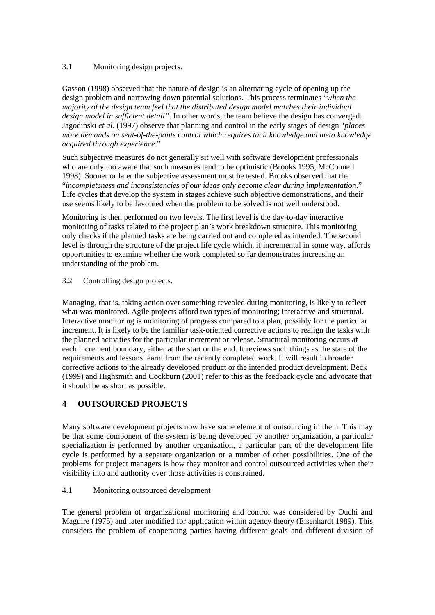### 3.1 Monitoring design projects.

Gasson (1998) observed that the nature of design is an alternating cycle of opening up the design problem and narrowing down potential solutions. This process terminates "*when the majority of the design team feel that the distributed design model matches their individual design model in sufficient detail"*. In other words, the team believe the design has converged. Jagodinski *et al*. (1997) observe that planning and control in the early stages of design "*places more demands on seat-of-the-pants control which requires tacit knowledge and meta knowledge acquired through experience*."

Such subjective measures do not generally sit well with software development professionals who are only too aware that such measures tend to be optimistic (Brooks 1995; McConnell 1998). Sooner or later the subjective assessment must be tested. Brooks observed that the "*incompleteness and inconsistencies of our ideas only become clear during implementation*." Life cycles that develop the system in stages achieve such objective demonstrations, and their use seems likely to be favoured when the problem to be solved is not well understood.

Monitoring is then performed on two levels. The first level is the day-to-day interactive monitoring of tasks related to the project plan's work breakdown structure. This monitoring only checks if the planned tasks are being carried out and completed as intended. The second level is through the structure of the project life cycle which, if incremental in some way, affords opportunities to examine whether the work completed so far demonstrates increasing an understanding of the problem.

3.2 Controlling design projects.

Managing, that is, taking action over something revealed during monitoring, is likely to reflect what was monitored. Agile projects afford two types of monitoring; interactive and structural. Interactive monitoring is monitoring of progress compared to a plan, possibly for the particular increment. It is likely to be the familiar task-oriented corrective actions to realign the tasks with the planned activities for the particular increment or release. Structural monitoring occurs at each increment boundary, either at the start or the end. It reviews such things as the state of the requirements and lessons learnt from the recently completed work. It will result in broader corrective actions to the already developed product or the intended product development. Beck (1999) and Highsmith and Cockburn (2001) refer to this as the feedback cycle and advocate that it should be as short as possible.

# **4 OUTSOURCED PROJECTS**

Many software development projects now have some element of outsourcing in them. This may be that some component of the system is being developed by another organization, a particular specialization is performed by another organization, a particular part of the development life cycle is performed by a separate organization or a number of other possibilities. One of the problems for project managers is how they monitor and control outsourced activities when their visibility into and authority over those activities is constrained.

#### 4.1 Monitoring outsourced development

The general problem of organizational monitoring and control was considered by Ouchi and Maguire (1975) and later modified for application within agency theory (Eisenhardt 1989). This considers the problem of cooperating parties having different goals and different division of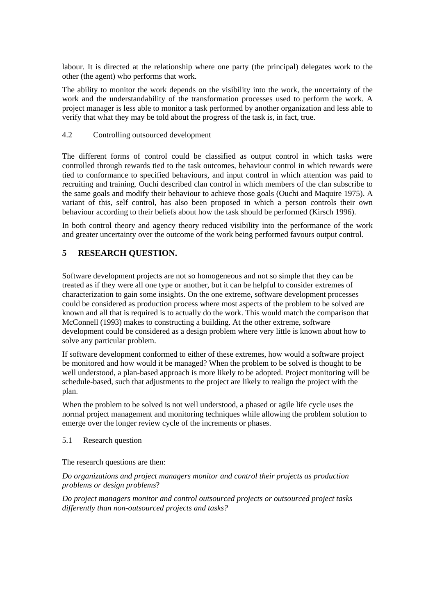labour. It is directed at the relationship where one party (the principal) delegates work to the other (the agent) who performs that work.

The ability to monitor the work depends on the visibility into the work, the uncertainty of the work and the understandability of the transformation processes used to perform the work. A project manager is less able to monitor a task performed by another organization and less able to verify that what they may be told about the progress of the task is, in fact, true.

#### 4.2 Controlling outsourced development

The different forms of control could be classified as output control in which tasks were controlled through rewards tied to the task outcomes, behaviour control in which rewards were tied to conformance to specified behaviours, and input control in which attention was paid to recruiting and training. Ouchi described clan control in which members of the clan subscribe to the same goals and modify their behaviour to achieve those goals (Ouchi and Maquire 1975). A variant of this, self control, has also been proposed in which a person controls their own behaviour according to their beliefs about how the task should be performed (Kirsch 1996).

In both control theory and agency theory reduced visibility into the performance of the work and greater uncertainty over the outcome of the work being performed favours output control.

# **5 RESEARCH QUESTION.**

Software development projects are not so homogeneous and not so simple that they can be treated as if they were all one type or another, but it can be helpful to consider extremes of characterization to gain some insights. On the one extreme, software development processes could be considered as production process where most aspects of the problem to be solved are known and all that is required is to actually do the work. This would match the comparison that McConnell (1993) makes to constructing a building. At the other extreme, software development could be considered as a design problem where very little is known about how to solve any particular problem.

If software development conformed to either of these extremes, how would a software project be monitored and how would it be managed? When the problem to be solved is thought to be well understood, a plan-based approach is more likely to be adopted. Project monitoring will be schedule-based, such that adjustments to the project are likely to realign the project with the plan.

When the problem to be solved is not well understood, a phased or agile life cycle uses the normal project management and monitoring techniques while allowing the problem solution to emerge over the longer review cycle of the increments or phases.

#### 5.1 Research question

The research questions are then:

*Do organizations and project managers monitor and control their projects as production problems or design problems*?

*Do project managers monitor and control outsourced projects or outsourced project tasks differently than non-outsourced projects and tasks?*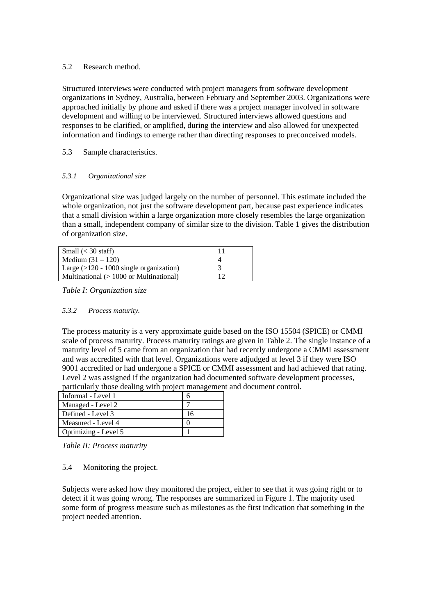#### 5.2 Research method.

Structured interviews were conducted with project managers from software development organizations in Sydney, Australia, between February and September 2003. Organizations were approached initially by phone and asked if there was a project manager involved in software development and willing to be interviewed. Structured interviews allowed questions and responses to be clarified, or amplified, during the interview and also allowed for unexpected information and findings to emerge rather than directing responses to preconceived models.

### 5.3 Sample characteristics.

#### *5.3.1 Organizational size*

Organizational size was judged largely on the number of personnel. This estimate included the whole organization, not just the software development part, because past experience indicates that a small division within a large organization more closely resembles the large organization than a small, independent company of similar size to the division. Table 1 gives the distribution of organization size.

| Small $(< 30$ staff)                       | 11 |
|--------------------------------------------|----|
| Medium $(31 – 120)$                        |    |
| Large $(>120 - 1000)$ single organization) | 3  |
| Multinational $(>1000$ or Multinational)   | 12 |

*Table I: Organization size* 

#### *5.3.2 Process maturity.*

The process maturity is a very approximate guide based on the ISO 15504 (SPICE) or CMMI scale of process maturity. Process maturity ratings are given in Table 2. The single instance of a maturity level of 5 came from an organization that had recently undergone a CMMI assessment and was accredited with that level. Organizations were adjudged at level 3 if they were ISO 9001 accredited or had undergone a SPICE or CMMI assessment and had achieved that rating. Level 2 was assigned if the organization had documented software development processes, particularly those dealing with project management and document control.

| Informal - Level 1   |  |
|----------------------|--|
| Managed - Level 2    |  |
| Defined - Level 3    |  |
| Measured - Level 4   |  |
| Optimizing - Level 5 |  |

*Table II: Process maturity* 

5.4 Monitoring the project.

Subjects were asked how they monitored the project, either to see that it was going right or to detect if it was going wrong. The responses are summarized in Figure 1. The majority used some form of progress measure such as milestones as the first indication that something in the project needed attention.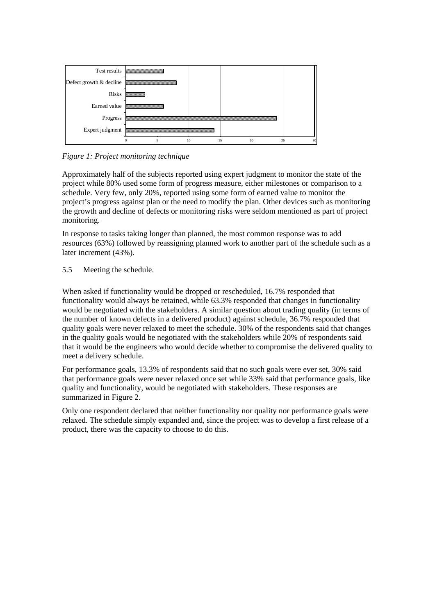

*Figure 1: Project monitoring technique* 

Approximately half of the subjects reported using expert judgment to monitor the state of the project while 80% used some form of progress measure, either milestones or comparison to a schedule. Very few, only 20%, reported using some form of earned value to monitor the project's progress against plan or the need to modify the plan. Other devices such as monitoring the growth and decline of defects or monitoring risks were seldom mentioned as part of project monitoring.

In response to tasks taking longer than planned, the most common response was to add resources (63%) followed by reassigning planned work to another part of the schedule such as a later increment (43%).

5.5 Meeting the schedule.

When asked if functionality would be dropped or rescheduled, 16.7% responded that functionality would always be retained, while 63.3% responded that changes in functionality would be negotiated with the stakeholders. A similar question about trading quality (in terms of the number of known defects in a delivered product) against schedule, 36.7% responded that quality goals were never relaxed to meet the schedule. 30% of the respondents said that changes in the quality goals would be negotiated with the stakeholders while 20% of respondents said that it would be the engineers who would decide whether to compromise the delivered quality to meet a delivery schedule.

For performance goals, 13.3% of respondents said that no such goals were ever set, 30% said that performance goals were never relaxed once set while 33% said that performance goals, like quality and functionality, would be negotiated with stakeholders. These responses are summarized in Figure 2.

Only one respondent declared that neither functionality nor quality nor performance goals were relaxed. The schedule simply expanded and, since the project was to develop a first release of a product, there was the capacity to choose to do this.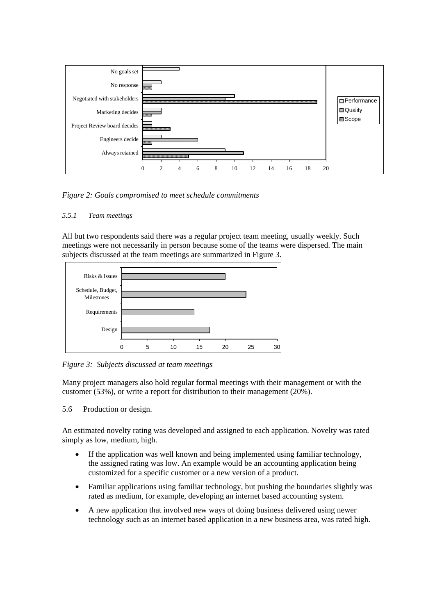

*Figure 2: Goals compromised to meet schedule commitments* 

#### *5.5.1 Team meetings*

All but two respondents said there was a regular project team meeting, usually weekly. Such meetings were not necessarily in person because some of the teams were dispersed. The main subjects discussed at the team meetings are summarized in Figure 3.



*Figure 3: Subjects discussed at team meetings* 

Many project managers also hold regular formal meetings with their management or with the customer (53%), or write a report for distribution to their management (20%).

5.6 Production or design.

An estimated novelty rating was developed and assigned to each application. Novelty was rated simply as low, medium, high.

- If the application was well known and being implemented using familiar technology, the assigned rating was low. An example would be an accounting application being customized for a specific customer or a new version of a product.
- Familiar applications using familiar technology, but pushing the boundaries slightly was rated as medium, for example, developing an internet based accounting system.
- A new application that involved new ways of doing business delivered using newer technology such as an internet based application in a new business area, was rated high.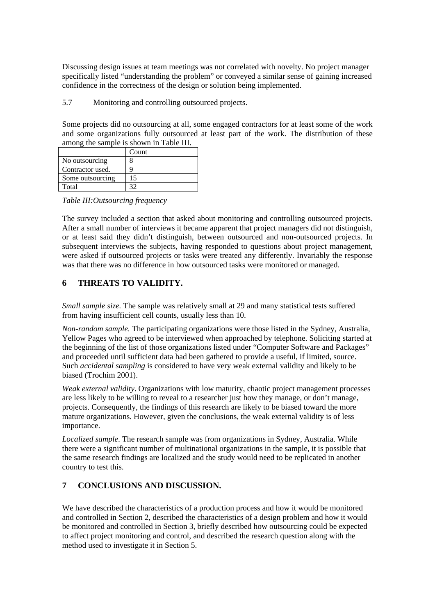Discussing design issues at team meetings was not correlated with novelty. No project manager specifically listed "understanding the problem" or conveyed a similar sense of gaining increased confidence in the correctness of the design or solution being implemented.

5.7 Monitoring and controlling outsourced projects.

Some projects did no outsourcing at all, some engaged contractors for at least some of the work and some organizations fully outsourced at least part of the work. The distribution of these among the sample is shown in [Table III](#page-8-0).

|                  | Count |
|------------------|-------|
| No outsourcing   |       |
| Contractor used. |       |
| Some outsourcing | 15    |
| Total            |       |

<span id="page-8-0"></span>*Table III:Outsourcing frequency* 

The survey included a section that asked about monitoring and controlling outsourced projects. After a small number of interviews it became apparent that project managers did not distinguish, or at least said they didn't distinguish, between outsourced and non-outsourced projects. In subsequent interviews the subjects, having responded to questions about project management, were asked if outsourced projects or tasks were treated any differently. Invariably the response was that there was no difference in how outsourced tasks were monitored or managed.

# **6 THREATS TO VALIDITY.**

*Small sample size.* The sample was relatively small at 29 and many statistical tests suffered from having insufficient cell counts, usually less than 10.

*Non-random sample.* The participating organizations were those listed in the Sydney, Australia, Yellow Pages who agreed to be interviewed when approached by telephone. Soliciting started at the beginning of the list of those organizations listed under "Computer Software and Packages" and proceeded until sufficient data had been gathered to provide a useful, if limited, source. Such *accidental sampling* is considered to have very weak external validity and likely to be biased (Trochim 2001).

*Weak external validity*. Organizations with low maturity, chaotic project management processes are less likely to be willing to reveal to a researcher just how they manage, or don't manage, projects. Consequently, the findings of this research are likely to be biased toward the more mature organizations. However, given the conclusions, the weak external validity is of less importance.

*Localized sample*. The research sample was from organizations in Sydney, Australia. While there were a significant number of multinational organizations in the sample, it is possible that the same research findings are localized and the study would need to be replicated in another country to test this.

# **7 CONCLUSIONS AND DISCUSSION.**

We have described the characteristics of a production process and how it would be monitored and controlled in Section 2, described the characteristics of a design problem and how it would be monitored and controlled in Section 3, briefly described how outsourcing could be expected to affect project monitoring and control, and described the research question along with the method used to investigate it in Section 5.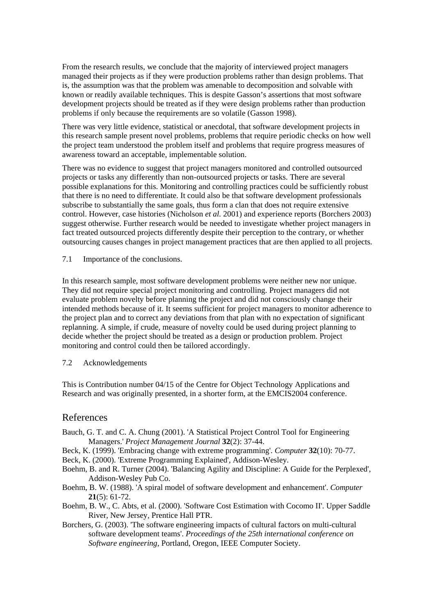From the research results, we conclude that the majority of interviewed project managers managed their projects as if they were production problems rather than design problems. That is, the assumption was that the problem was amenable to decomposition and solvable with known or readily available techniques. This is despite Gasson's assertions that most software development projects should be treated as if they were design problems rather than production problems if only because the requirements are so volatile (Gasson 1998).

There was very little evidence, statistical or anecdotal, that software development projects in this research sample present novel problems, problems that require periodic checks on how well the project team understood the problem itself and problems that require progress measures of awareness toward an acceptable, implementable solution.

There was no evidence to suggest that project managers monitored and controlled outsourced projects or tasks any differently than non-outsourced projects or tasks. There are several possible explanations for this. Monitoring and controlling practices could be sufficiently robust that there is no need to differentiate. It could also be that software development professionals subscribe to substantially the same goals, thus form a clan that does not require extensive control. However, case histories (Nicholson *et al.* 2001) and experience reports (Borchers 2003) suggest otherwise. Further research would be needed to investigate whether project managers in fact treated outsourced projects differently despite their perception to the contrary, or whether outsourcing causes changes in project management practices that are then applied to all projects.

7.1 Importance of the conclusions.

In this research sample, most software development problems were neither new nor unique. They did not require special project monitoring and controlling. Project managers did not evaluate problem novelty before planning the project and did not consciously change their intended methods because of it. It seems sufficient for project managers to monitor adherence to the project plan and to correct any deviations from that plan with no expectation of significant replanning. A simple, if crude, measure of novelty could be used during project planning to decide whether the project should be treated as a design or production problem. Project monitoring and control could then be tailored accordingly.

#### 7.2 Acknowledgements

This is Contribution number 04/15 of the Centre for Object Technology Applications and Research and was originally presented, in a shorter form, at the EMCIS2004 conference.

### References

- Bauch, G. T. and C. A. Chung (2001). 'A Statistical Project Control Tool for Engineering Managers.' *Project Management Journal* **32**(2): 37-44.
- Beck, K. (1999). 'Embracing change with extreme programming'. *Computer* **32**(10): 70-77.
- Beck, K. (2000). 'Extreme Programming Explained', Addison-Wesley.
- Boehm, B. and R. Turner (2004). 'Balancing Agility and Discipline: A Guide for the Perplexed', Addison-Wesley Pub Co.
- Boehm, B. W. (1988). 'A spiral model of software development and enhancement'. *Computer* **21**(5): 61-72.
- Boehm, B. W., C. Abts, et al. (2000). 'Software Cost Estimation with Cocomo II'. Upper Saddle River, New Jersey, Prentice Hall PTR.
- Borchers, G. (2003). 'The software engineering impacts of cultural factors on multi-cultural software development teams'. *Proceedings of the 25th international conference on Software engineering*, Portland, Oregon, IEEE Computer Society.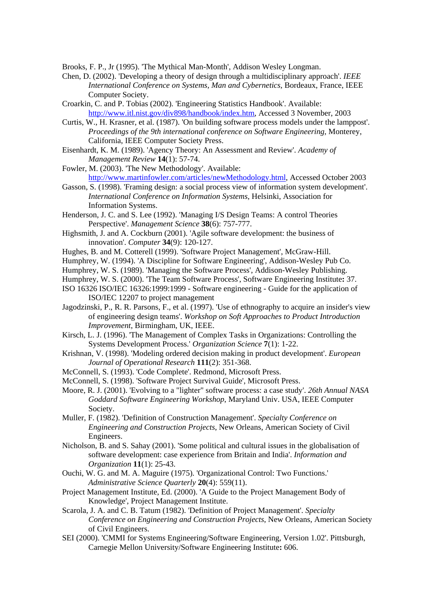Brooks, F. P., Jr (1995). 'The Mythical Man-Month', Addison Wesley Longman.

- Chen, D. (2002). 'Developing a theory of design through a multidisciplinary approach'. *IEEE International Conference on Systems, Man and Cybernetics*, Bordeaux, France, IEEE Computer Society.
- Croarkin, C. and P. Tobias (2002). 'Engineering Statistics Handbook'. Available: <http://www.itl.nist.gov/div898/handbook/index.htm>, Accessed 3 November, 2003
- Curtis, W., H. Krasner, et al. (1987). 'On building software process models under the lamppost'. *Proceedings of the 9th international conference on Software Engineering*, Monterey, California, IEEE Computer Society Press.
- Eisenhardt, K. M. (1989). 'Agency Theory: An Assessment and Review'. *Academy of Management Review* **14**(1): 57-74.
- Fowler, M. (2003). 'The New Methodology'. Available: <http://www.martinfowler.com/articles/newMethodology.html>, Accessed October 2003
- Gasson, S. (1998). 'Framing design: a social process view of information system development'. *International Conference on Information Systems*, Helsinki, Association for Information Systems.
- Henderson, J. C. and S. Lee (1992). 'Managing I/S Design Teams: A control Theories Perspective'. *Management Science* **38**(6): 757-777.
- Highsmith, J. and A. Cockburn (2001). 'Agile software development: the business of innovation'. *Computer* **34**(9): 120-127.
- Hughes, B. and M. Cotterell (1999). 'Software Project Management', McGraw-Hill.
- Humphrey, W. (1994). 'A Discipline for Software Engineering', Addison-Wesley Pub Co.
- Humphrey, W. S. (1989). 'Managing the Software Process', Addison-Wesley Publishing.
- Humphrey, W. S. (2000). 'The Team Software Process', Software Engineering Institute**:** 37.
- ISO 16326 ISO/IEC 16326:1999:1999 Software engineering Guide for the application of ISO/IEC 12207 to project management
- Jagodzinski, P., R. R. Parsons, F., et al. (1997). 'Use of ethnography to acquire an insider's view of engineering design teams'. *Workshop on Soft Approaches to Product Introduction Improvement*, Birmingham, UK, IEEE.
- Kirsch, L. J. (1996). 'The Management of Complex Tasks in Organizations: Controlling the Systems Development Process.' *Organization Science* **7**(1): 1-22.
- Krishnan, V. (1998). 'Modeling ordered decision making in product development'. *European Journal of Operational Research* **111**(2): 351-368.
- McConnell, S. (1993). 'Code Complete'. Redmond, Microsoft Press.
- McConnell, S. (1998). 'Software Project Survival Guide', Microsoft Press.
- Moore, R. J. (2001). 'Evolving to a "lighter" software process: a case study'. *26th Annual NASA Goddard Software Engineering Workshop*, Maryland Univ. USA, IEEE Computer Society.
- Muller, F. (1982). 'Definition of Construction Management'. *Specialty Conference on Engineering and Construction Projects*, New Orleans, American Society of Civil Engineers.
- Nicholson, B. and S. Sahay (2001). 'Some political and cultural issues in the globalisation of software development: case experience from Britain and India'. *Information and Organization* **11**(1): 25-43.
- Ouchi, W. G. and M. A. Maguire (1975). 'Organizational Control: Two Functions.' *Administrative Science Quarterly* **20**(4): 559(11).
- Project Management Institute, Ed. (2000). 'A Guide to the Project Management Body of Knowledge', Project Management Institute.
- Scarola, J. A. and C. B. Tatum (1982). 'Definition of Project Management'. *Specialty Conference on Engineering and Construction Projects*, New Orleans, American Society of Civil Engineers.
- SEI (2000). 'CMMI for Systems Engineering/Software Engineering, Version 1.02'. Pittsburgh, Carnegie Mellon University/Software Engineering Institute**:** 606.